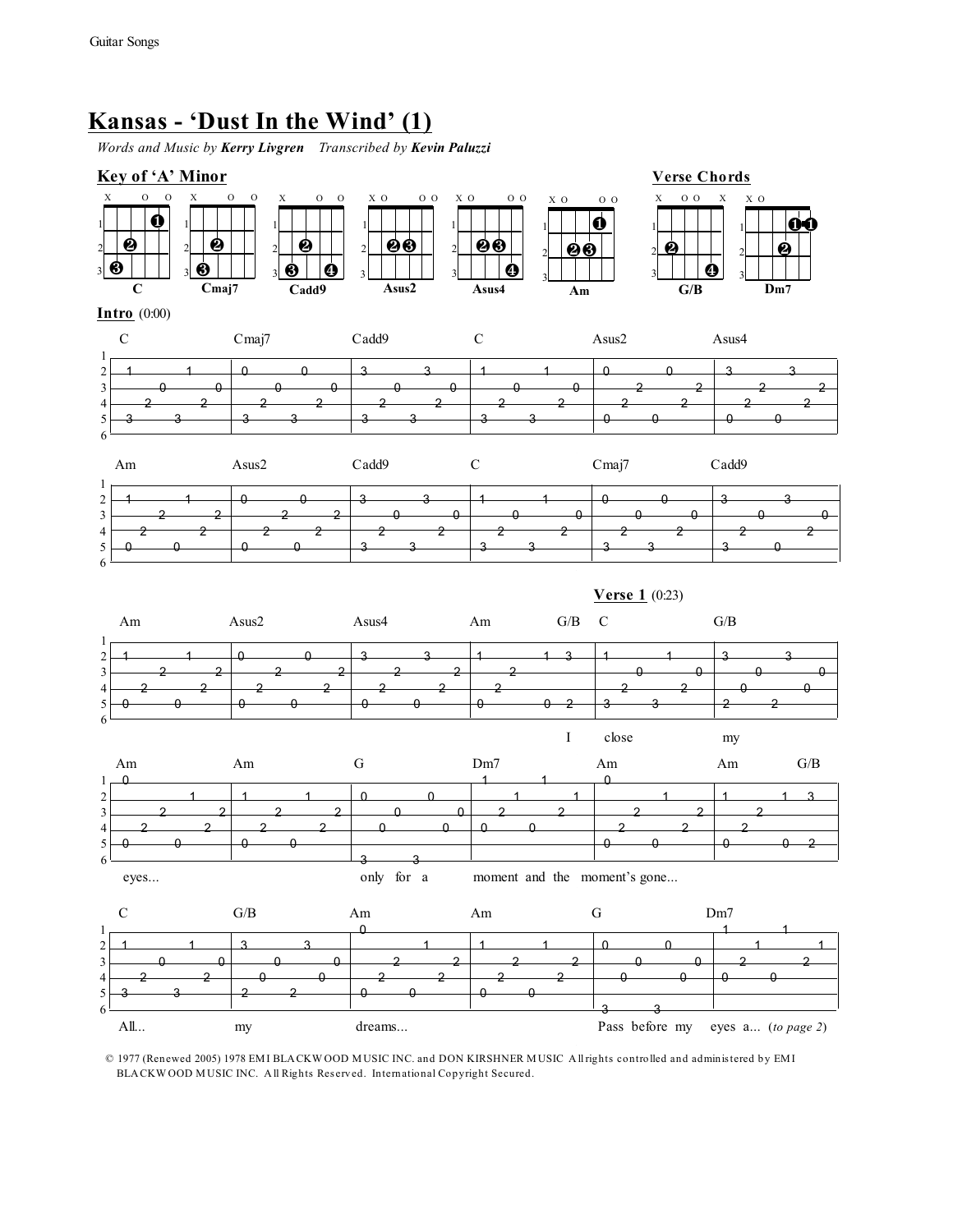# **Kansas - 'Dust In the Wind' (1)**

*Words and Music by Kerry Livgren Transcribed by Kevin Paluzzi*



© 1977 (Renewed 2005) 1978 EM I BLA CKW OOD M USIC INC. and DON KIRSHNER M USIC A ll rights controlled and adminis tered by EM I BLA CKW OOD MUSIC INC. All Rights Reserved. International Copyright Secured.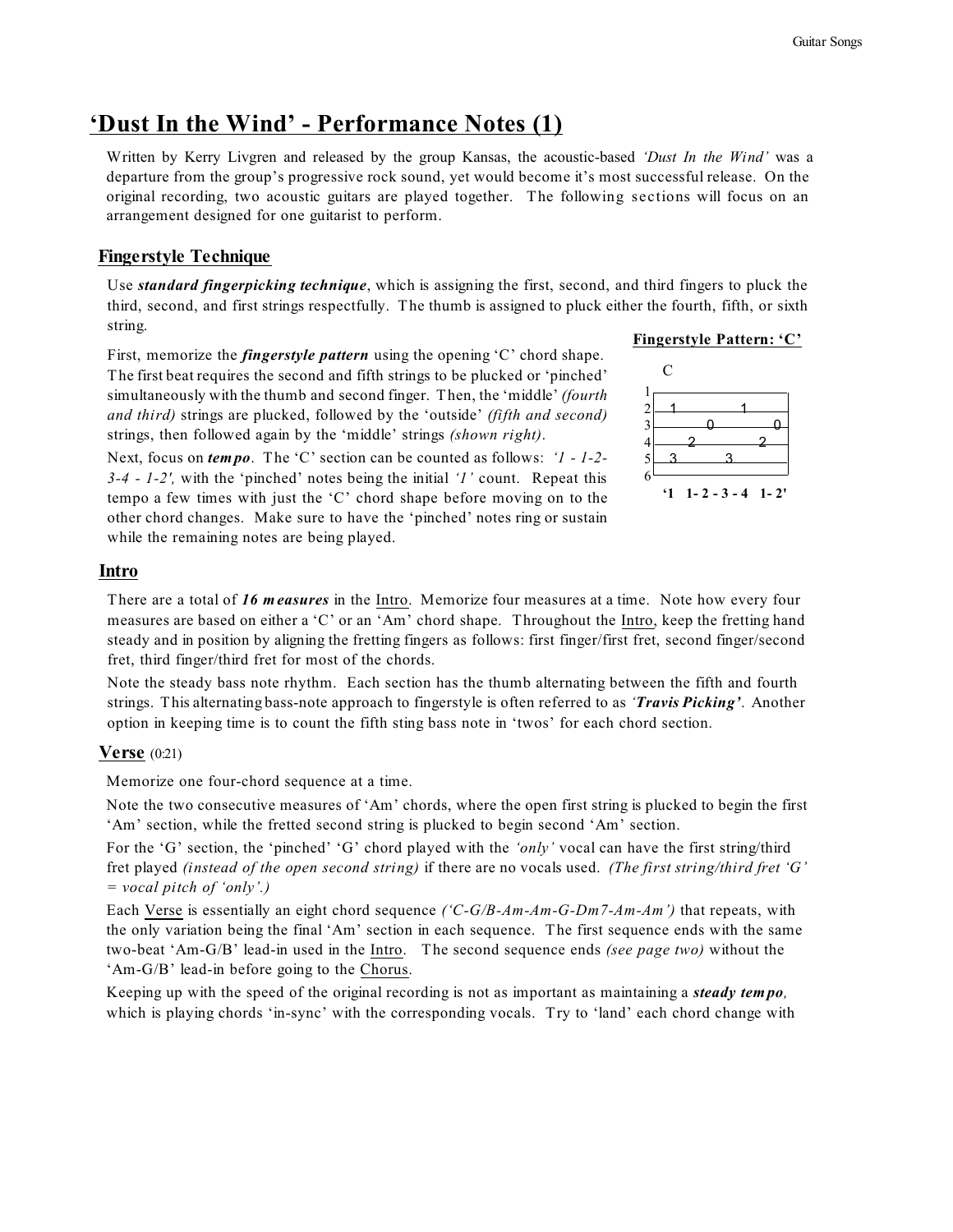## **'Dust In the Wind' - Performance Notes (1)**

Written by Kerry Livgren and released by the group Kansas, the acoustic-based *'Dust In the Wind'* was a departure from the group's progressive rock sound, yet would become it's most successful release. On the original recording, two acoustic guitars are played together. The following sections will focus on an arrangement designed for one guitarist to perform.

### **Fingerstyle Technique**

Use *standard fingerpicking technique*, which is assigning the first, second, and third fingers to pluck the third, second, and first strings respectfully. The thumb is assigned to pluck either the fourth, fifth, or sixth string.

First, memorize the *fingerstyle pattern* using the opening 'C' chord shape. The first beat requires the second and fifth strings to be plucked or 'pinched' simultaneously with the thumb and second finger. Then, the 'middle' *(fourth and third)* strings are plucked, followed by the 'outside' *(fifth and second)* strings, then followed again by the 'middle' strings *(shown right)*.

Next, focus on *tem po*. The 'C' section can be counted as follows: *'1 - 1-2- 3-4 - 1-2',* with the 'pinched' notes being the initial *'1'* count. Repeat this tempo a few times with just the 'C' chord shape before moving on to the other chord changes. Make sure to have the 'pinched' notes ring or sustain while the remaining notes are being played.

#### **Fingerstyle Pattern: 'C'**



#### **Intro**

There are a total of *16 m easures* in the Intro. Memorize four measures at a time. Note how every four measures are based on either a 'C' or an 'Am' chord shape. Throughout the Intro, keep the fretting hand steady and in position by aligning the fretting fingers as follows: first finger/first fret, second finger/second fret, third finger/third fret for most of the chords.

Note the steady bass note rhythm. Each section has the thumb alternating between the fifth and fourth strings. This alternating bass-note approach to fingerstyle is often referred to as *'Travis Picking'*. Another option in keeping time is to count the fifth sting bass note in 'twos' for each chord section.

#### **Verse** (0:21)

Memorize one four-chord sequence at a time.

Note the two consecutive measures of 'Am' chords, where the open first string is plucked to begin the first 'Am' section, while the fretted second string is plucked to begin second 'Am' section.

For the 'G' section, the 'pinched' 'G' chord played with the *'only'* vocal can have the first string/third fret played *(instead of the open second string)* if there are no vocals used. *(The first string/third fret 'G' = vocal pitch of 'only'.)*

Each Verse is essentially an eight chord sequence *('C-G/B-Am-Am-G-Dm7-Am-Am')* that repeats, with the only variation being the final 'Am' section in each sequence. The first sequence ends with the same two-beat 'Am-G/B' lead-in used in the Intro. The second sequence ends *(see page two)* without the 'Am-G/B' lead-in before going to the Chorus.

Keeping up with the speed of the original recording is not as important as maintaining a *steady tem po,*  which is playing chords 'in-sync' with the corresponding vocals. Try to 'land' each chord change with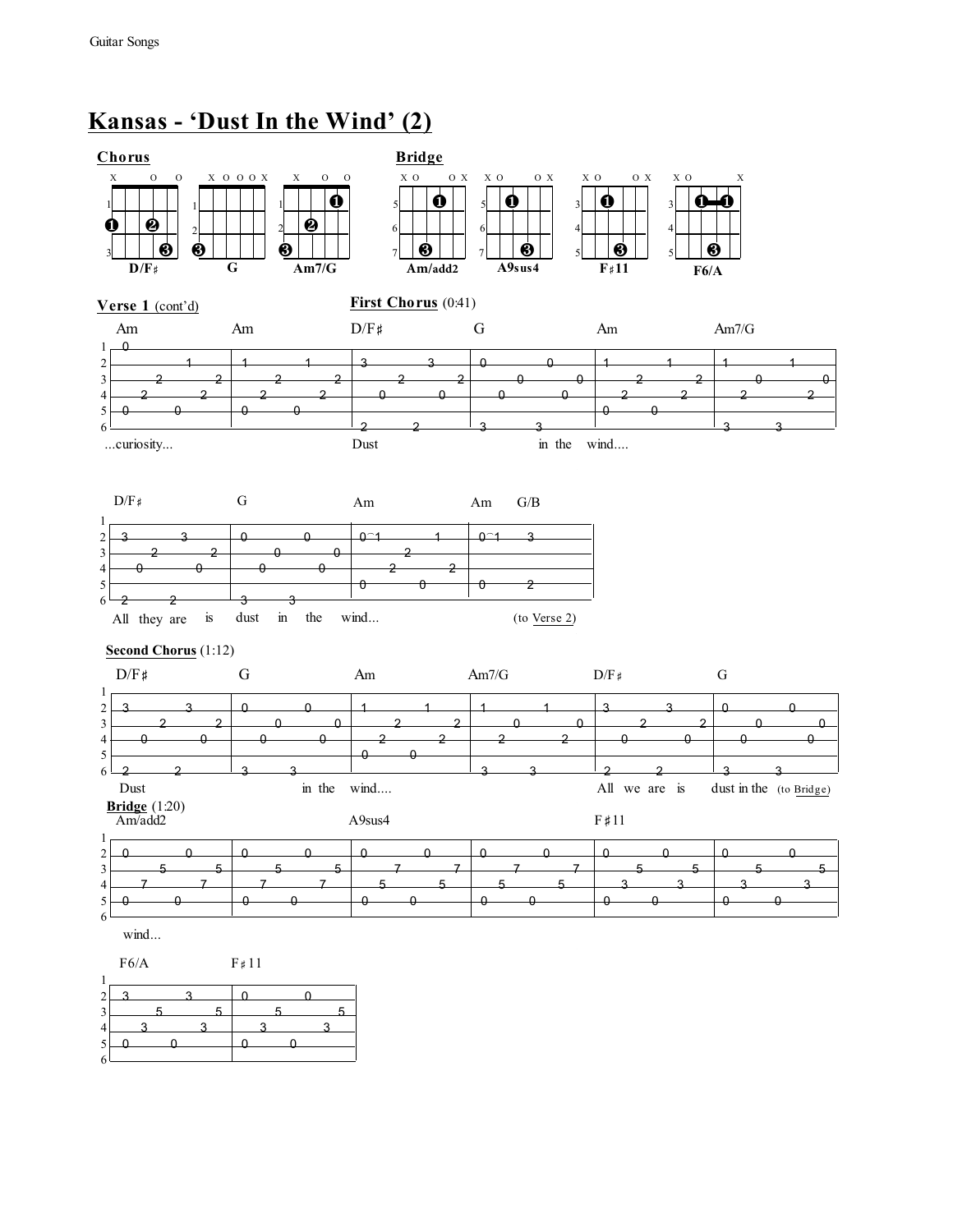6

# **Kansas - 'Dust In the Wind' (2)**

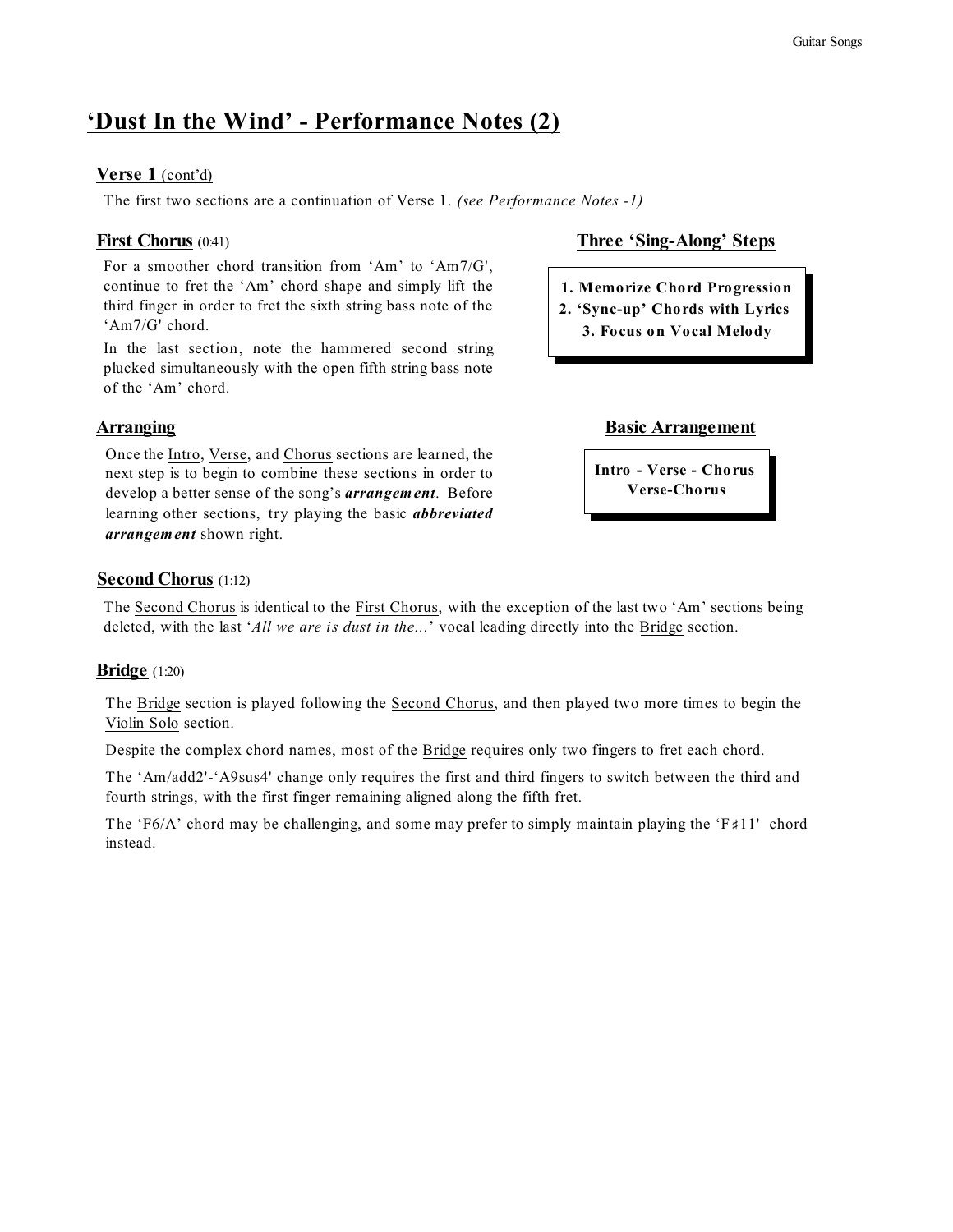## **'Dust In the Wind' - Performance Notes (2)**

#### **Verse 1** (cont'd)

The first two sections are a continuation of Verse 1. *(see Performance Notes -1)*

For a smoother chord transition from 'Am' to 'Am7/G', continue to fret the 'Am' chord shape and simply lift the third finger in order to fret the sixth string bass note of the 'Am7/G' chord.

In the last section, note the hammered second string plucked simultaneously with the open fifth string bass note of the 'Am' chord.

Once the Intro, Verse, and Chorus sections are learned, the next step is to begin to combine these sections in order to develop a better sense of the song's *arrangem ent*. Before learning other sections, try playing the basic *abbreviated arrangem ent* shown right.

#### First Chorus (0:41) **Three 'Sing-Along' Steps**

- **1. Memorize Chord Progression**
- **2. 'Sync-up' Chords with Lyrics 3. Focus on Vocal Melody**

#### **Arranging Basic Arrangement**

**Intro - Verse - Chorus Verse-Chorus**

#### **Second Chorus** (1:12)

The Second Chorus is identical to the First Chorus, with the exception of the last two 'Am' sections being deleted, with the last '*All we are is dust in the...*' vocal leading directly into the Bridge section.

### **Bridge** (1:20)

The Bridge section is played following the Second Chorus, and then played two more times to begin the Violin Solo section.

Despite the complex chord names, most of the Bridge requires only two fingers to fret each chord.

The 'Am/add2'-'A9sus4' change only requires the first and third fingers to switch between the third and fourth strings, with the first finger remaining aligned along the fifth fret.

The 'F6/A' chord may be challenging, and some may prefer to simply maintain playing the 'F#11' chord instead.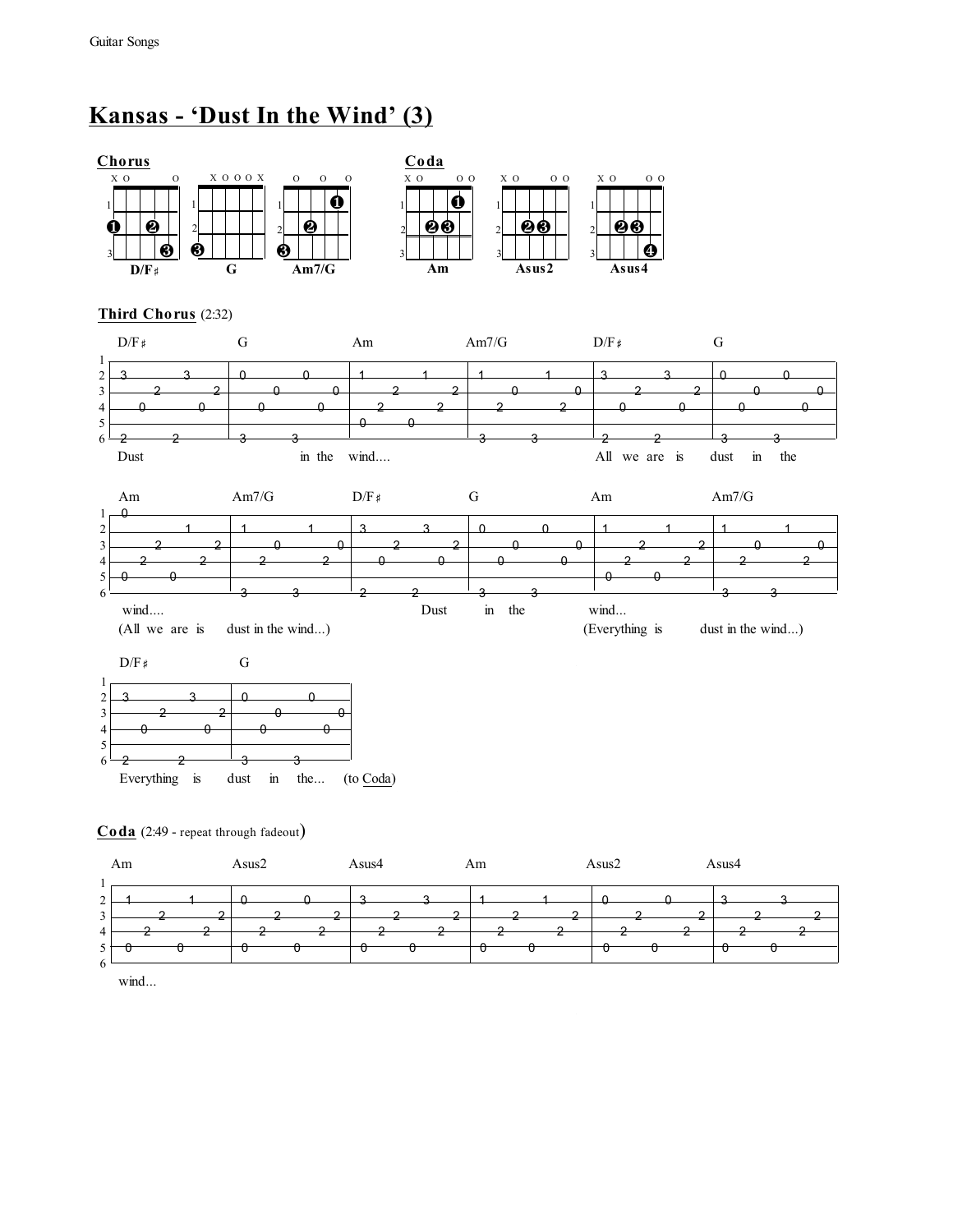# **Kansas - 'Dust In the Wind' (3)**



**Coda** (2:49 - repeat through fadeout)

|                                | Am | Asus2 | Asus4 | Am | Asus2 | Asus4 |  |
|--------------------------------|----|-------|-------|----|-------|-------|--|
| $\sim$<br>∼<br>$\sim$          |    |       |       |    |       |       |  |
| 4<br>$\mathcal{L}$<br>$\sigma$ |    |       |       |    |       |       |  |

wind...